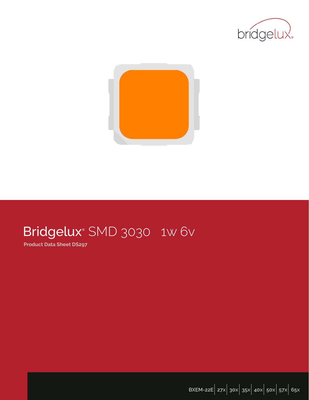



# Bridgelux® SMD 3030 1w 6v

**Product Data Sheet DS297**

**BXEM-22E**| **27x**| **30x**| **35x**| **40x**| **50x**| **57x**| **65x**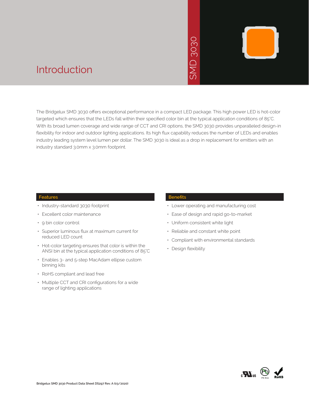# 3030



## Introduction

The Bridgelux SMD 3030 offers exceptional performance in a compact LED package. This high power LED is hot-color targeted which ensures that the LEDs fall within their specified color bin at the typical application conditions of 85°C. With its broad lumen coverage and wide range of CCT and CRI options, the SMD 3030 provides unparalleled design-in flexibility for indoor and outdoor lighting applications. Its high flux capability reduces the number of LEDs and enables industry leading system level lumen per dollar. The SMD 3030 is ideal as a drop in replacement for emitters with an industry standard 3.0mm x 3.0mm footprint. • New York<br>
• Design flexibility<br>
• Design flexibility<br>
• SMD 3<br>
• SMD 3<br>
• SMD 3<br>
• State of design a<br>
• Uniform consiste<br>
• Reliable and con<br>
• Compliant with e<br>
• Design flexibility<br>
• Design flexibility

## **Features**

- Industry-standard 3030 footprint
- Excellent color maintenance
- 9 bin color control
- Superior luminous flux at maximum current for reduced LED count
- Hot-color targeting ensures that color is within the ANSI bin at the typical application conditions of 85°C
- Enables 3- and 5-step MacAdam ellipse custom binning kits
- RoHS compliant and lead free
- Multiple CCT and CRI configurations for a wide range of lighting applications

## **Benefits**

- Lower operating and manufacturing cost
- Ease of design and rapid go-to-market
- Uniform consistent white light
- Reliable and constant white point
- Compliant with environmental standards
- Design flexibility

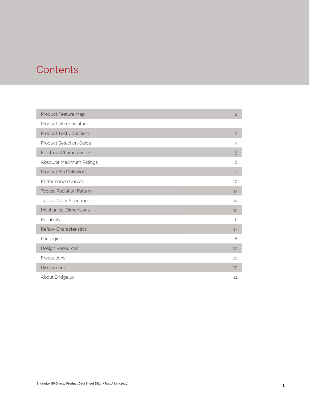## **Contents**

| Product Feature Map               | $\overline{c}$ |
|-----------------------------------|----------------|
| Product Nomenclature              | $\overline{c}$ |
| <b>Product Test Conditions</b>    | $\overline{c}$ |
| <b>Product Selection Guide</b>    | 3              |
| <b>Electrical Characteristics</b> | 5              |
| Absolute Maximum Ratings          | 6              |
| <b>Product Bin Definitions</b>    | 7              |
| Performance Curves                | 10             |
| <b>Typical Radiation Pattern</b>  | 13             |
| Typical Color Spectrum            | 14             |
| <b>Mechanical Dimensions</b>      | 15             |
| Reliability                       | 16             |
| <b>Reflow Characteristics</b>     | 17             |
| Packaging                         | 18             |
| Design Resources                  | 20             |
| Precautions                       | 20             |
| <b>Disclaimers</b>                | 20             |
| About Bridgelux                   | 21             |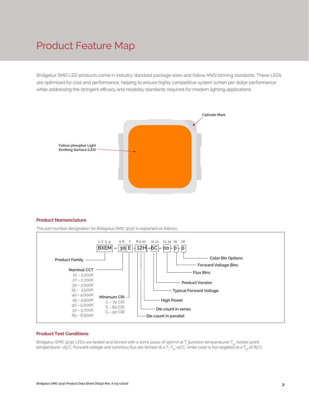## Product Feature Map

Bridgelux SMD LED products come in industry standard package sizes and follow ANSI binning standards. These LEDs are optimized for cost and performance, helping to ensure highly competitive system lumen per dollar performance while addressing the stringent efficacy and reliability standards required for modern lighting applications.



#### **Product Nomenclature**

The part number designation for Bridgelux SMD 3030 is explained as follows:



#### **Product Test Conditions**

Bridgelux SMD 3030 LEDs are tested and binned with a 10ms pulse of 150mA at  $\rm T_j$  (junction temperature)=T $_{\rm sp}$  (solder point temperature) =25°C. Forward voltage and luminous flux are binned at a T<sub>j=</sub>T<sub>sp</sub>=25°C, while color is hot targeted at a T<sub>sp</sub> of 85°C.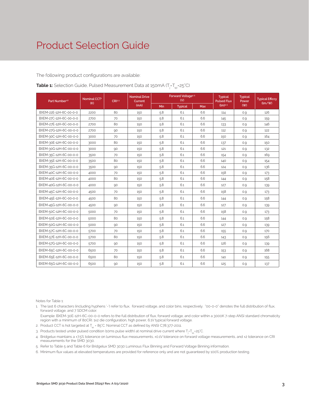# Product Selection Guide

#### The following product configurations are available:

| Part Number <sup>1,6</sup> | Nominal CCT <sup>2</sup> | CRI3.5 | <b>Nominal Drive</b><br>Current |     | Forward Voltage <sup>4.5</sup><br>(V) |     | <b>Typical</b><br><b>Pulsed Flux</b> | <b>Typical</b><br>Power | <b>Typical Efficcy</b> |
|----------------------------|--------------------------|--------|---------------------------------|-----|---------------------------------------|-----|--------------------------------------|-------------------------|------------------------|
|                            | (K)                      |        | (mA)                            | Min | <b>Typical</b>                        | Max | $(lm)^{4.5}$                         | (W)                     | (lm/W)                 |
| BXEM-22E-12H-6C-00-0-0     | 2200                     | 80     | 150                             | 5.8 | 6.1                                   | 6.6 | 114                                  | 0.9                     | 126                    |
| BXEM-27C-12H-6C-00-0-0     | 2700                     | 70     | 150                             | 5.8 | 6.1                                   | 6.6 | 145                                  | 0.9                     | 159                    |
| BXEM-27E-12H-6C-00-0-0     | 2700                     | 80     | 150                             | 5.8 | 6.1                                   | 6.6 | 133                                  | 0.9                     | 146                    |
| BXEM-27G-12H-6C-00-0-0     | 2700                     | 90     | 150                             | 5.8 | 6.1                                   | 6.6 | 112                                  | 0.9                     | 122                    |
| BXEM-30C-12H-6C-00-0-0     | 3000                     | 70     | 150                             | 5.8 | 6.1                                   | 6.6 | 150                                  | 0.9                     | 164                    |
| BXEM-30E-12H-6C-00-0-0     | 3000                     | 80     | 150                             | 5.8 | 6.1                                   | 6.6 | 137                                  | 0.9                     | 150                    |
| BXEM-30G-12H-6C-00-0-0     | 3000                     | 90     | 150                             | 5.8 | 6.1                                   | 6.6 | 121                                  | 0.9                     | 132                    |
| BXEM-35C-12H-6C-00-0-0     | 3500                     | 70     | 150                             | 5.8 | 6.1                                   | 6.6 | 154                                  | 0.9                     | 169                    |
| BXEM-35E-12H-6C-00-0-0     | 3500                     | 80     | 150                             | 5.8 | 6.1                                   | 6.6 | 140                                  | 0.9                     | 154                    |
| BXEM-35G-12H-6C-00-0-0     | 3500                     | 90     | 150                             | 5.8 | 6.1                                   | 6.6 | 124                                  | 0.9                     | 136                    |
| BXEM-40C-12H-6C-00-0-0     | 4000                     | 70     | 150                             | 5.8 | 6.1                                   | 6.6 | 158                                  | 0.9                     | 173                    |
| BXEM-40E-12H-6C-00-0-0     | 4000                     | 80     | 150                             | 5.8 | 6.1                                   | 6.6 | 144                                  | 0.9                     | 158                    |
| BXEM-40G-12H-6C-00-0-0     | 4000                     | 90     | 150                             | 5.8 | 6.1                                   | 6.6 | 127                                  | 0.9                     | 139                    |
| BXEM-45C-12H-6C-00-0-0     | 4500                     | 70     | 150                             | 5.8 | 6.1                                   | 6.6 | 158                                  | 0.9                     | 173                    |
| BXEM-45E-12H-6C-00-0-0     | 4500                     | 80     | 150                             | 5.8 | 6.1                                   | 6.6 | 144                                  | 0.9                     | 158                    |
| BXEM-45G-12H-6C-00-0-0     | 4500                     | 90     | 150                             | 5.8 | 6.1                                   | 6.6 | 127                                  | 0.9                     | 139                    |
| BXEM-50C-12H-6C-00-0-0     | 5000                     | 70     | 150                             | 5.8 | 6.1                                   | 6.6 | 158                                  | 0.9                     | 173                    |
| BXEM-50E-12H-6C-00-0-0     | 5000                     | 80     | 150                             | 5.8 | 6.1                                   | 6.6 | 144                                  | 0.9                     | 158                    |
| BXEM-50G-12H-6C-00-0-0     | 5000                     | 90     | 150                             | 5.8 | 6.1                                   | 6.6 | 127                                  | 0.9                     | 139                    |
| BXEM-57C-12H-6C-00-0-0     | 5700                     | 70     | 150                             | 5.8 | 6.1                                   | 6.6 | 155                                  | 0.9                     | 170                    |
| BXEM-57E-12H-6C-00-0-0     | 5700                     | 80     | 150                             | 5.8 | 6.1                                   | 6.6 | 143                                  | 0.9                     | 156                    |
| BXEM-57G-12H-6C-00-0-0     | 5700                     | 90     | 150                             | 5.8 | 6.1                                   | 6.6 | 126                                  | 0.9                     | 139                    |
| BXEM-65C-12H-6C-00-0-0     | 6500                     | 70     | 150                             | 5.8 | 6.1                                   | 6.6 | 153                                  | 0.9                     | 168                    |
| BXEM-65E-12H-6C-00-0-0     | 6500                     | 80     | 150                             | 5.8 | 6.1                                   | 6.6 | 141                                  | 0.9                     | 155                    |
| BXEM-65G-12H-6C-00-0-0     | 6500                     | 90     | 150                             | 5.8 | 6.1                                   | 6.6 | 125                                  | 0.9                     | 137                    |

|  | <b>Table 1:</b> Selection Guide, Pulsed Measurement Data at 150mA (T <sub>i</sub> =T <sub>sp</sub> =25°C) |  |
|--|-----------------------------------------------------------------------------------------------------------|--|
|--|-----------------------------------------------------------------------------------------------------------|--|

Notes for Table 1:

1. The last 6 characters (including hyphens '-') refer to flux, forward voltage, and color bins, respectively. "00-0-0" denotes the full distribution of flux, forward voltage, and 7 SDCM color.

 Example: BXEM-30E-12H-6C-00-0-0 refers to the full distribution of flux, forward voltage, and color within a 3000K 7-step ANSI standard chromaticity region with a minimum of 80CRI. 1x2 die configuration, high power, 6.1V typical forward voltage.

2. Product CCT is hot targeted at  $T_{sp}$  = 85°C. Nominal CCT as defined by ANSI C78.377-2011.

3. Products tested under pulsed condition (10ms pulse width) at nominal drive current where T<sub>i</sub>-T<sub>sp</sub>-25°C.

4. Bridgelux maintains a ±7.5% tolerance on luminous flux measurements, ±0.1V tolerance on forward voltage measurements, and ±2 tolerance on CRI measurements for the SMD 3030.

5. Refer to Table 5 and Table 6 for Bridgelux SMD 3030 Luminous Flux Binning and Forward Voltage Binning information.

6. Minimum flux values at elevated temperatures are provided for reference only and are not guaranteed by 100% production testing.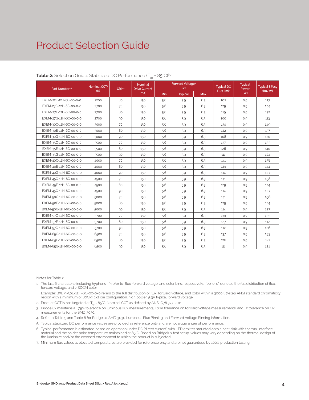# Product Selection Guide

| Part Number <sup>1,5</sup> | Nominal CCT <sup>2</sup> | CRI34 | Nominal<br><b>Drive Current</b> |            | <b>Forward Voltage4</b><br>(V) |     | <b>Typical DC</b>      | <b>Typical</b><br>Power | <b>Typical Effccy</b><br>(lm/W) |
|----------------------------|--------------------------|-------|---------------------------------|------------|--------------------------------|-----|------------------------|-------------------------|---------------------------------|
|                            | (K)                      |       | (mA)                            | <b>Min</b> | <b>Typical</b>                 | Max | Flux (lm) <sup>4</sup> | (W)                     |                                 |
| BXEM-22E-12H-6C-00-0-0     | 2200                     | 80    | 150                             | 5.6        | 5.9                            | 6.3 | 102                    | 0.9                     | 117                             |
| BXEM-27C-12H-6C-00-0-0     | 2700                     | 70    | 150                             | 5.6        | 5.9                            | 6.3 | 129                    | 0.9                     | 144                             |
| BXEM-27E-12H-6C-00-0-0     | 2700                     | 80    | 150                             | 5.6        | 5.9                            | 6.3 | 119                    | 0.9                     | 132                             |
| BXEM-27G-12H-6C-00-0-0     | 2700                     | 90    | 150                             | 5.6        | 5.9                            | 6.3 | 100                    | 0.9                     | 113                             |
| BXEM-30C-12H-6C-00-0-0     | 3000                     | 70    | 150                             | 5.6        | 5.9                            | 6.3 | 134                    | 0.9                     | 149                             |
| BXEM-30E-12H-6C-00-0-0     | 3000                     | 80    | 150                             | 5.6        | 5.9                            | 6.3 | 122                    | 0.9                     | 137                             |
| BXEM-30G-12H-6C-00-0-0     | 3000                     | 90    | 150                             | 5.6        | 5.9                            | 6.3 | 108                    | 0.9                     | 120                             |
| BXEM-35C-12H-6C-00-0-0     | 3500                     | 70    | 150                             | 5.6        | 5.9                            | 6.3 | 137                    | 0.9                     | 153                             |
| BXEM-35E-12H-6C-00-0-0     | 3500                     | 80    | 150                             | 5.6        | 5.9                            | 6.3 | 126                    | 0.9                     | 140                             |
| BXEM-35G-12H-6C-00-0-0     | 3500                     | 90    | 150                             | 5.6        | 5.9                            | 6.3 | 111                    | 0.9                     | 124                             |
| BXEM-40C-12H-6C-00-0-0     | 4000                     | 70    | 150                             | 5.6        | 5.9                            | 6.3 | 141                    | 0.9                     | 158                             |
| BXEM-40E-12H-6C-00-0-0     | 4000                     | 80    | 150                             | 5.6        | 5.9                            | 6.3 | 129                    | 0.9                     | 144                             |
| BXEM-40G-12H-6C-00-0-0     | 4000                     | 90    | 150                             | 5.6        | 5.9                            | 6.3 | 114                    | 0.9                     | 127                             |
| BXEM-45C-12H-6C-00-0-0     | 4500                     | 70    | 150                             | 5.6        | 5.9                            | 6.3 | 141                    | 0.9                     | 158                             |
| BXEM-45E-12H-6C-00-0-0     | 4500                     | 80    | 150                             | 5.6        | 5.9                            | 6.3 | 129                    | 0.9                     | 144                             |
| BXEM-45G-12H-6C-00-0-0     | 4500                     | 90    | 150                             | 5.6        | 5.9                            | 6.3 | 114                    | 0.9                     | 127                             |
| BXEM-50C-12H-6C-00-0-0     | 5000                     | 70    | 150                             | 5.6        | 5.9                            | 6.3 | 141                    | 0.9                     | 158                             |
| BXEM-50E-12H-6C-00-0-0     | 5000                     | 80    | 150                             | 5.6        | 5.9                            | 6.3 | 129                    | 0.9                     | 144                             |
| BXEM-50G-12H-6C-00-0-0     | 5000                     | 90    | 150                             | 5.6        | 5.9                            | 6.3 | 114                    | 0.9                     | 127                             |
| BXEM-57C-12H-6C-00-0-0     | 5700                     | 70    | 150                             | 5.6        | 5.9                            | 6.3 | 139                    | 0.9                     | 155                             |
| BXEM-57E-12H-6C-00-0-0     | 5700                     | 80    | 150                             | 5.6        | 5.9                            | 6.3 | 127                    | 0.9                     | 142                             |
| BXEM-57G-12H-6C-00-0-0     | 5700                     | 90    | 150                             | 5.6        | 5.9                            | 6.3 | 112                    | 0.9                     | 126                             |
| BXEM-65C-12H-6C-00-0-0     | 6500                     | 70    | 150                             | 5.6        | 5.9                            | 6.3 | 137                    | 0.9                     | 153                             |
| BXEM-65E-12H-6C-00-0-0     | 6500                     | 80    | 150                             | 5.6        | 5.9                            | 6.3 | 126                    | 0.9                     | 141                             |
| BXEM-65G-12H-6C-00-0-0     | 6500                     | 90    | 150                             | 5.6        | 5.9                            | 6.3 | 111                    | 0.9                     | 124                             |

#### **Table 2:** Selection Guide, Stabilized DC Performance  $(T_{sn} = 85^{\circ}C)^{6.7}$

Notes for Table 2:

1. The last 6 characters (including hyphens '-') refer to flux, forward voltage, and color bins, respectively. "00-0-0" denotes the full distribution of flux, forward voltage, and 7 SDCM color.

 Example: BXEM-30E-12H-6C-00-0-0 refers to the full distribution of flux, forward voltage, and color within a 3000K 7-step ANSI standard chromaticity region with a minimum of 80CRI. 1x2 die configuration, high power, 5.9V typical forward voltage.

- 2. Product CCT is hot targeted at  $T_{sp}$  = 85°C. Nominal CCT as defined by ANSI C78.377-2011.
- 3. Bridgelux maintains a ±7.5% tolerance on luminous flux measurements, ±0.1V tolerance on forward voltage measurements, and ±2 tolerance on CRI measurements for the SMD 3030.
- 4. Refer to Table 5 and Table 6 for Bridgelux SMD 3030 Luminous Flux Binning and Forward Voltage Binning information.
- 5. Typical stabilized DC performance values are provided as reference only and are not a guarantee of performance.
- 6. Typical performance is estimated based on operation under DC (direct current) with LED emitter mounted onto a heat sink with thermal interface material and the solder point temperature maintained at 85°C. Based on Bridgelux test setup, values may vary depending on the thermal design of the luminaire and/or the exposed environment to which the product is subjected.
- 7. Minimum flux values at elevated temperatures are provided for reference only and are not guaranteed by 100% production testing.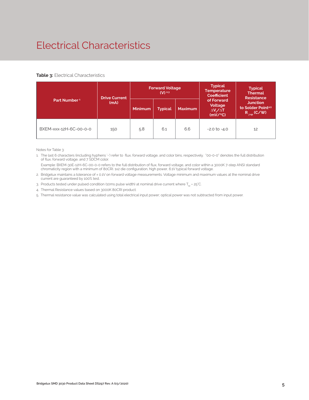# Electrical Characteristics

#### **Table 3: Electrical Characteristics**

| <b>Drive Current</b>     |      |                | <b>Forward Voltage</b><br>$(V)$ <sup>2,3</sup> |                | <b>Typical</b><br><b>Temperature</b><br><b>Coefficient</b>  | <b>Typical</b><br><b>Thermal</b><br><b>Resistance</b>                 |  |
|--------------------------|------|----------------|------------------------------------------------|----------------|-------------------------------------------------------------|-----------------------------------------------------------------------|--|
| Part Number <sup>1</sup> | (mA) | <b>Minimum</b> | <b>Typical</b>                                 | <b>Maximum</b> | of Forward<br>Voltage<br>$\Delta V \sim \Delta T$<br>(mV/C) | <b>Junction</b><br>to Solder Point <sup>4,5</sup><br>$R_{j-sp}$ (C/W) |  |
| BXEM-xxx-12H-6C-00-0-0   | 150  | 5.8            | 6.1                                            | 6.6            | $-2.0$ to $-4.0$                                            | 12                                                                    |  |

Notes for Table 3:

1. The last 6 characters (including hyphens '-') refer to flux, forward voltage, and color bins, respectively. "00-0-0" denotes the full distribution of flux, forward voltage, and 7 SDCM color.

 Example: BXEM-30E-12H-6C-00-0-0 refers to the full distribution of flux, forward voltage, and color within a 3000K 7-step ANSI standard chromaticity region with a minimum of 80CRI. 1x2 die configuration, high power, 6.1V typical forward voltage.

2. Bridgelux maintains a tolerance of ± 0.1V on forward voltage measurements. Voltage minimum and maximum values at the nominal drive current are guaranteed by 100% test.

3. Products tested under pulsed condition (10ms pulse width) at nominal drive current where  $T_{\text{sp}}$  = 25°C.

4. Thermal Resistance values based on 3000K 80CRI product.

5. Thermal resistance value was calculated using total electrical input power; optical power was not subtracted from input power.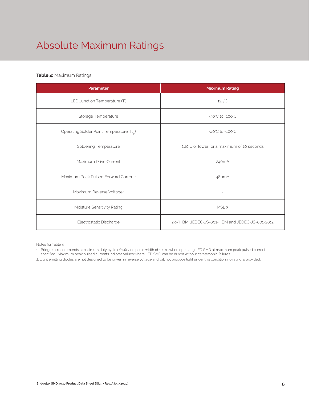# Absolute Maximum Ratings

#### **Table 4:** Maximum Ratings

| Parameter                                             | <b>Maximum Rating</b>                           |  |
|-------------------------------------------------------|-------------------------------------------------|--|
| LED Junction Temperature (T.)                         | $125^{\circ}$ C                                 |  |
| Storage Temperature                                   | $-40^{\circ}$ C to $+100^{\circ}$ C             |  |
| Operating Solder Point Temperature (T <sub>Sp</sub> ) | $-40^{\circ}$ C to $+100^{\circ}$ C             |  |
| Soldering Temperature                                 | 260°C or lower for a maximum of 10 seconds      |  |
| Maximum Drive Current                                 | 240 <sub>m</sub> A                              |  |
| Maximum Peak Pulsed Forward Current <sup>1</sup>      | 480 <sub>m</sub> A                              |  |
| Maximum Reverse Voltage <sup>2</sup>                  |                                                 |  |
| Moisture Sensitivity Rating                           | MSL <sub>3</sub>                                |  |
| Electrostatic Discharge                               | 2kV HBM, JEDEC-JS-001-HBM and JEDEC-JS-001-2012 |  |

Notes for Table 4:

1. Bridgelux recommends a maximum duty cycle of 10% and pulse width of 10 ms when operating LED SMD at maximum peak pulsed current specified. Maximum peak pulsed currents indicate values where LED SMD can be driven without catastrophic failures.

2. Light emitting diodes are not designed to be driven in reverse voltage and will not produce light under this condition. no rating is provided.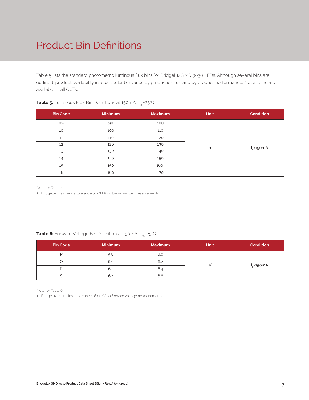# Product Bin Definitions

Table 5 lists the standard photometric luminous flux bins for Bridgelux SMD 3030 LEDs. Although several bins are outlined, product availability in a particular bin varies by production run and by product performance. Not all bins are available in all CCTs.

| <b>Bin Code</b> | <b>Minimum</b> | <b>Maximum</b> | Unit | <b>Condition</b> |
|-----------------|----------------|----------------|------|------------------|
| 09              | 90             | 100            |      |                  |
| 10              | 100            | 110            |      |                  |
| 11              | 110            | 120            |      |                  |
| 12              | 120            | 130            |      |                  |
| 13              | 130            | 140            | lm   | $I_F = 150mA$    |
| 14              | 140            | 150            |      |                  |
| 15              | 150            | 160            |      |                  |
| 16              | 160            | 170            |      |                  |

## **Table 5:** Luminous Flux Bin Definitions at 150mA, T<sub>sp</sub>=25°C

Note for Table 5:

1. Bridgelux maintains a tolerance of ± 7.5% on luminous flux measurements.

## **Table 6:** Forward Voltage Bin Definition at 150mA, T<sub>sp</sub>=25°C

| <b>Bin Code</b> | <b>Minimum</b> | <b>Maximum</b> | <b>Unit</b> | <b>Condition</b> |
|-----------------|----------------|----------------|-------------|------------------|
|                 | 5.8            | 6.0            |             |                  |
|                 | 6.0            | 6.2            |             |                  |
|                 | 6.2            | 6.4            |             | $IF=150mA$       |
|                 | 6.4            | 6.6            |             |                  |

Note for Table 6:

1. Bridgelux maintains a tolerance of ± 0.1V on forward voltage measurements.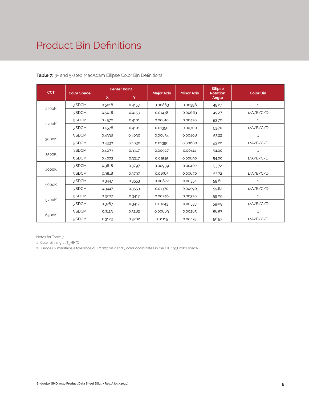# Product Bin Definitions

| <b>CCT</b> |                    | <b>Center Point</b> |        |                   |                   | <b>Ellipse</b>           |                  |
|------------|--------------------|---------------------|--------|-------------------|-------------------|--------------------------|------------------|
|            | <b>Color Space</b> | X                   | Y      | <b>Major Axis</b> | <b>Minor Axis</b> | <b>Rotation</b><br>Angle | <b>Color Bin</b> |
|            | 3 SDCM             | 0.5018              | 0.4153 | 0.00863           | 0.00398           | 49.27                    | 1                |
| 2200K      | 5 SDCM             | 0.5018              | 0.4153 | 0.01438           | 0.00663           | 49.27                    | 1/A/B/C/D        |
|            | 3 SDCM             | 0.4578              | 0.4101 | 0.00810           | 0.00420           | 53.70                    | $\mathbf{1}$     |
| 2700K      | 5 SDCM             | 0.4578              | 0.4101 | 0.01350           | 0.00700           | 53.70                    | 1/A/B/C/D        |
|            | 3 SDCM             | 0.4338              | 0.4030 | 0.00834           | 0.00408           | 53.22                    | $\mathbf{1}$     |
| 3000K      | 5 SDCM             | 0.4338              | 0.4030 | 0.01390           | 0.00680           | 53.22                    | 1/A/B/C/D        |
|            | 3 SDCM             | 0.4073              | 0.3917 | 0.00927           | 0.00414           | 54.00                    | $\mathbf{1}$     |
| 3500K      | 5 SDCM             | 0.4073              | 0.3917 | 0.01545           | 0.00690           | 54.00                    | 1/A/B/C/D        |
|            | 3 SDCM             | 0.3818              | 0.3797 | 0.00939           | 0.00402           | 53.72                    | $\mathbf{1}$     |
| 4000K      | 5 SDCM             | 0.3818              | 0.3797 | 0.01565           | 0.00670           | 53.72                    | 1/A/B/C/D        |
|            | 3 SDCM             | 0.3447              | 0.3553 | 0.00822           | 0.00354           | 59.62                    | $\mathbf{1}$     |
| 5000K      | 5 SDCM             | 0.3447              | 0.3553 | 0.01370           | 0.00590           | 59.62                    | 1/A/B/C/D        |
|            | 3 SDCM             | 0.3287              | 0.3417 | 0.00746           | 0.00320           | 59.09                    | $\mathbf{1}$     |
| 5700K      | 5 SDCM             | 0.3287              | 0.3417 | 0.01243           | 0.00533           | 59.09                    | 1/A/B/C/D        |
|            | 3 SDCM             | 0.3123              | 0.3282 | 0.00669           | 0.00285           | 58.57                    | 1                |
| 6500K      | 5 SDCM             | 0.3123              | 0.3282 | 0.01115           | 0.00475           | 58.57                    | 1/A/B/C/D        |

## **Table 7:** 3- and 5-step MacAdam Ellipse Color Bin Definitions

Notes for Table 7:

1. Color binning at  $T_{\rm sn}$ =85°C

2. Bridgelux maintains a tolerance of ± 0.007 on x and y color coordinates in the CIE 1931 color space.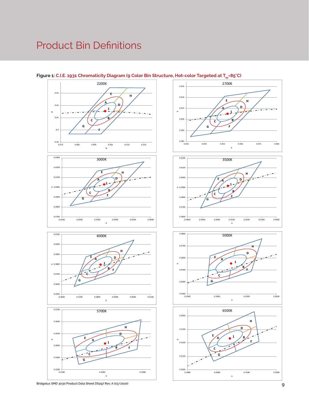# Product Bin Definitions



#### $0.3500$   $+ 0.3600$ 0.3600 0.3700  $> 0.3800$ 0.3900 0.4000 0.4100 0.3600 0.3700 0.3800 0.3900 0.4000 0.4100 4000K **1 A B C E D F G H**

x











## Figure 1: C.I.E. 1931 Chromaticity Diagram (9 Color Bin Structure, Hot-color Targeted at T<sub>sp</sub>=85°C)

**Bridgelux SMD 3030 Product Data Sheet DS297 Rev. A (03/2020)**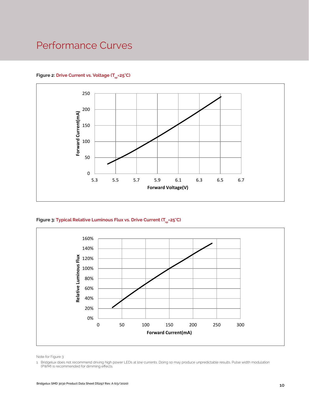## Performance Curves

### Figure 2: Drive Current vs. Voltage (T<sub>SD</sub>=25°C)



## Figure 3: Typical Relative Luminous Flux vs. Drive Current (T<sub>sp</sub>=25°C)



Note for Figure 3:

1. Bridgelux does not recommend driving high power LEDs at low currents. Doing so may produce unpredictable results. Pulse width modulation (PWM) is recommended for dimming effects.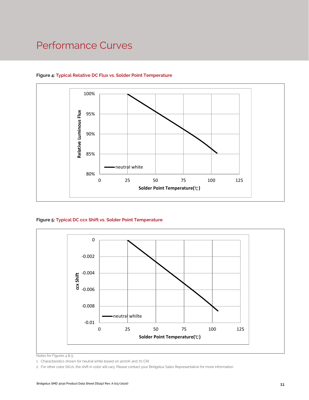## Performance Curves



## **Figure 4: Typical Relative DC Flux vs. Solder Point Temperature**

#### **Figure 5: Typical DC ccx Shift vs. Solder Point Temperature**



Notes for Figures 4 & 5:

1. Characteristics shown for neutral white based on 4000K and 70 CRI.

2. For other color SKUs, the shift in color will vary. Please contact your Bridgelux Sales Representative for more information.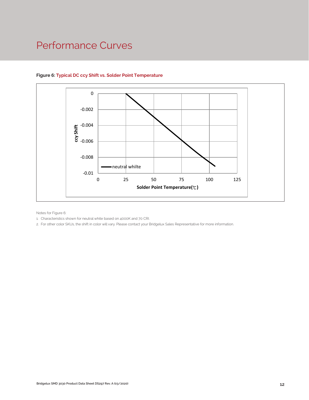## Performance Curves



## **Figure 6: Typical DC ccy Shift vs. Solder Point Temperature**

Notes for Figure 6:

1. Characteristics shown for neutral white based on 4000K and 70 CRI.

2. For other color SKUs, the shift in color will vary. Please contact your Bridgelux Sales Representative for more information.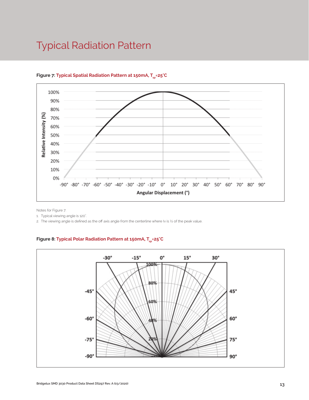## Typical Radiation Pattern



## Figure 7: Typical Spatial Radiation Pattern at 150mA, T<sub>cn</sub>=25°C

Notes for Figure 7:

1. Typical viewing angle is 120°. .

2. The viewing angle is defined as the off axis angle from the centerline where Iv is ½ of the peak value.

## Figure 8: Typical Polar Radiation Pattern at 150mA, T<sub>sp</sub>=25°C

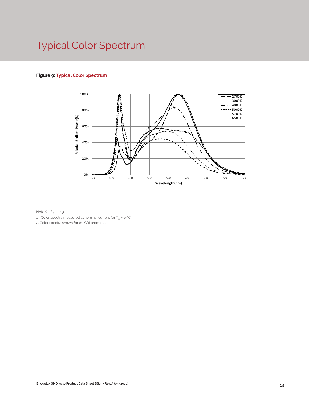# Typical Color Spectrum

## **Figure 9: Typical Color Spectrum**



Note for Figure 9:

1. Color spectra measured at nominal current for  $T_{\text{ss}}$  = 25°C

2. Color spectra shown for 80 CRI products.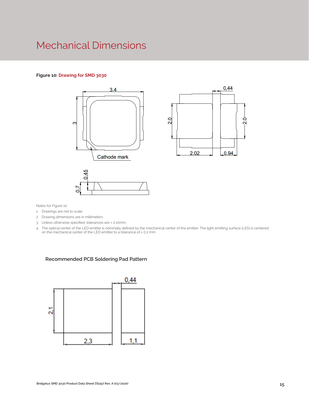## Mechanical Dimensions

#### **Figure 10: Drawing for SMD 3030**



Notes for Figure 10:

- 1. Drawings are not to scale.
- 2. Drawing dimensions are in millimeters.
- 3. Unless otherwise specified, tolerances are ± 0.10mm.
- 4. The optical center of the LED emitter is nominally defined by the mechanical center of the emitter. The light emitting surface (LES) is centered on the mechanical center of the LED emitter to a tolerance of ± 0.2 mm

#### **Recommended PCB Soldering Pad Pattern**

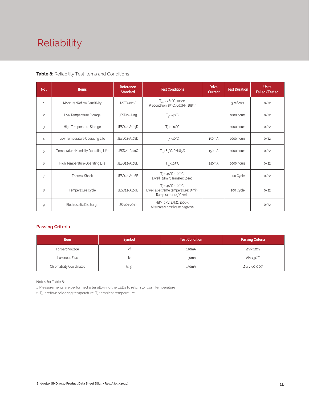# Reliability

### **Table 8:** Reliability Test Items and Conditions

| No.            | <b>Items</b>                        | Reference<br><b>Standard</b> | <b>Test Conditions</b>                                                                                    | <b>Drive</b><br>Current | <b>Test Duration</b> | <b>Units</b><br><b>Failed/Tested</b> |
|----------------|-------------------------------------|------------------------------|-----------------------------------------------------------------------------------------------------------|-------------------------|----------------------|--------------------------------------|
| $\mathbf{1}$   | Moisture/Reflow Sensitivity         | J-STD-020E                   | $T_{\text{cld}}$ = 260°C, 10sec,<br>Precondition: 85°C, 60%RH, 168hr                                      |                         | 3 reflows            | 0/22                                 |
| $\overline{c}$ | Low Temperature Storage             | JESD22-A119                  | $T_a = -40^{\circ}C$                                                                                      |                         | 1000 hours           | 0/22                                 |
| 3              | High Temperature Storage            | JESD22-A103D                 | $T_{\sim}$ =100 $^{\circ}$ C                                                                              |                         | 1000 hours           | 0/22                                 |
| 4              | Low Temperature Operating Life      | JESD22-A108D                 | $T_a = -40^{\circ}C$                                                                                      | 150 <sub>m</sub> A      | 1000 hours           | 0/22                                 |
| 5              | Temperature Humidity Operating Life | JESD22-A101C                 | $T_{SD} = 85^{\circ}$ C, RH=85%                                                                           | 150 <sub>m</sub> A      | 1000 hours           | 0/22                                 |
| 6              | High Temperature Operating Life     | JESD22-A108D                 | $T_{\rm sn}$ =105°C                                                                                       | 240 <sub>m</sub> A      | 1000 hours           | 0/22                                 |
| $\overline{7}$ | Thermal Shock                       | JESD22-A106B                 | $T = -40^{\circ}C - 100^{\circ}C$ ;<br>Dwell: 15min; Transfer: 10sec                                      |                         | 200 Cycle            | 0/22                                 |
| 8              | Temperature Cycle                   | JESD22-A104E                 | $T_s = -40^{\circ}C \sim 100^{\circ}C$ ;<br>Dwell at extreme temperature: 15min;<br>Ramp rate < 105°C/min |                         | 200 Cycle            | 0/22                                 |
| 9              | Electrostatic Discharge             | JS-001-2012                  | HBM, $2KV$ , $1.5k\Omega$ , 100pF,<br>Alternately positive or negative                                    |                         |                      | 0/22                                 |

### **Passing Criteria**

| <b>Item</b>                     | <b>Symbol</b> | <b>Test Condition</b> | <b>Passing Criteria</b> |
|---------------------------------|---------------|-----------------------|-------------------------|
| Forward Voltage                 |               | 150 <sub>m</sub> A    | ΔVf<10%                 |
| Luminous Flux                   | I٧            | 150 <sub>m</sub> A    | $\Delta$ $\vee$ < 30%   |
| <b>Chromaticity Coordinates</b> | (x, y)        | 150 <sub>m</sub> A    | Δu'v'<0.007             |

Notes for Table 8:

1. Measurements are performed after allowing the LEDs to return to room temperature

2.  $\mathsf{T}_{\mathsf{std}}$  : reflow soldering temperature;  $\mathsf{T}_{\mathsf{a}}$  : ambient temperature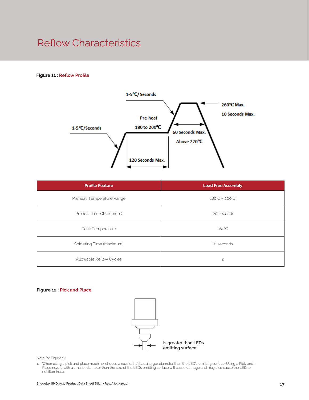## Reflow Characteristics

#### **Figure 11 : Reflow Profile**



| <b>Profile Feature</b>     | <b>Lead Free Assembly</b>     |  |
|----------------------------|-------------------------------|--|
| Preheat: Temperature Range | $180^{\circ}C - 200^{\circ}C$ |  |
| Preheat: Time (Maximum)    | 120 seconds                   |  |
| Peak Temperature           | $260^{\circ}$ C               |  |
| Soldering Time (Maximum)   | 10 seconds                    |  |
| Allowable Reflow Cycles    | $\overline{c}$                |  |

#### **Figure 12 : Pick and Place**



Note for Figure 12:

1. When using a pick and place machine, choose a nozzle that has a larger diameter than the LED's emitting surface. Using a Pick-and-Place nozzle with a smaller diameter than the size of the LEDs emitting surface will cause damage and may also cause the LED to not illuminate.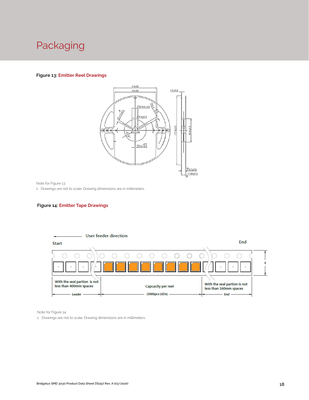# Packaging

#### **Figure 13: Emitter Reel Drawings**



Note for Figure 13:

1. Drawings are not to scale. Drawing dimensions are in millimeters.

#### **Figure 14: Emitter Tape Drawings**



Note for Figure 14:

1. Drawings are not to scale. Drawing dimensions are in millimeters.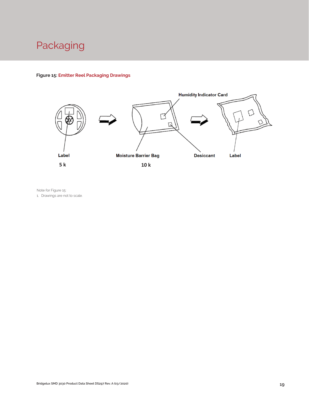# Packaging

## **Figure 15: Emitter Reel Packaging Drawings**



Note for Figure 15:

1. Drawings are not to scale.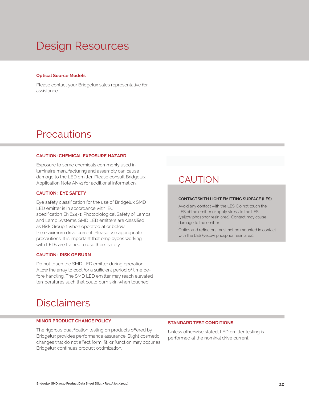# Design Resources

#### **Optical Source Models**

Please contact your Bridgelux sales representative for assistance.

## **Precautions**

#### **CAUTION: CHEMICAL EXPOSURE HAZARD**

Exposure to some chemicals commonly used in luminaire manufacturing and assembly can cause damage to the LED emitter. Please consult Bridgelux Application Note AN51 for additional information.

#### **CAUTION: EYE SAFETY**

Eye safety classification for the use of Bridgelux SMD LED emitter is in accordance with IEC specification EN62471: Photobiological Safety of Lamps and Lamp Systems. SMD LED emitters are classified as Risk Group 1 when operated at or below the maximum drive current. Please use appropriate precautions. It is important that employees working with LEDs are trained to use them safely.

#### **CAUTION: RISK OF BURN**

Do not touch the SMD LED emitter during operation. Allow the array to cool for a sufficient period of time before handling. The SMD LED emitter may reach elevated temperatures such that could burn skin when touched.

## **CAUTION**

#### **CONTACT WITH LIGHT EMITTING SURFACE (LES)**

Avoid any contact with the LES. Do not touch the LES of the emitter or apply stress to the LES (yellow phosphor resin area). Contact may cause damage to the emitter

Optics and reflectors must not be mounted in contact with the LES (yellow phosphor resin area).

## **Disclaimers**

#### **MINOR PRODUCT CHANGE POLICY**

The rigorous qualification testing on products offered by Bridgelux provides performance assurance. Slight cosmetic changes that do not affect form, fit, or function may occur as Bridgelux continues product optimization.

#### **STANDARD TEST CONDITIONS**

Unless otherwise stated, LED emitter testing is performed at the nominal drive current.